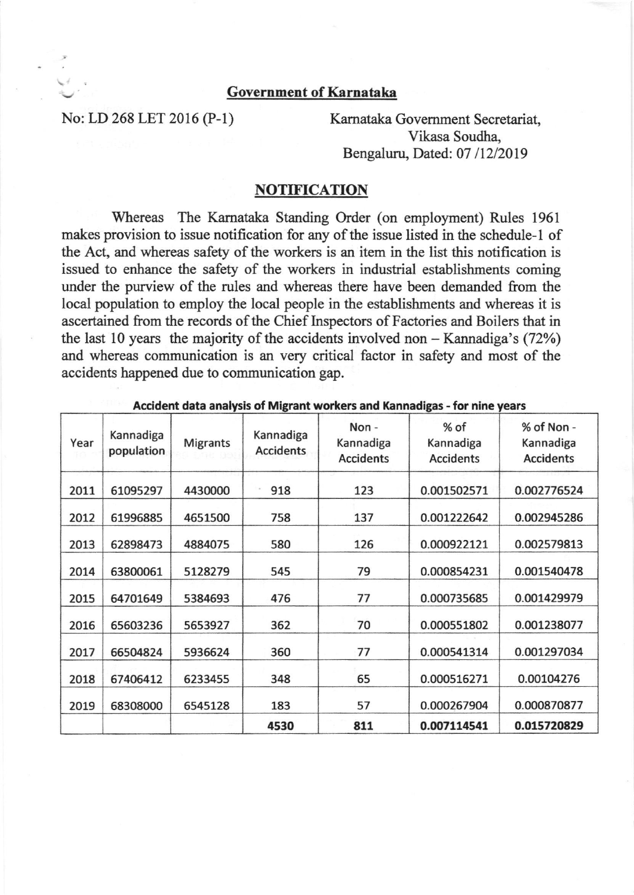## Government of Karnataka

No: LD 268 LET 2016 (P-1) Karnataka Government Secretariat, Vikasa Soudha, Bengaluru, Dated: 07/12/2019

## **NOTIFICATION**

Whereas The Karnataka Standing Order (on employment) Rules 1961 makes provision to issue notification for any of the issue listed in the schedule-l of the Act, and whereas safety of the workers is an item in the list this notification is issued to enhance the safety of the workers in industrial establishments coming under the purview of the rules and whereas there have been demanded from the local population to employ the local people in the establishments and whereas it is ascertained from the records of the Chief Inspectors of Factories and Boilers that in the last 10 years the majority of the accidents involved non  $-$  Kannadiga's (72%) and whereas communication is an very critical factor in safety and most of the accidents happened due to communication gap.

| Year | Kannadiga<br>population | <b>Migrants</b> | Kannadiga<br><b>Accidents</b> | Non-<br>Kannadiga<br><b>Accidents</b> | % of<br>Kannadiga<br><b>Accidents</b> | % of Non -<br>Kannadiga<br><b>Accidents</b> |
|------|-------------------------|-----------------|-------------------------------|---------------------------------------|---------------------------------------|---------------------------------------------|
| 2011 | 61095297                | 4430000         | 918                           | 123                                   | 0.001502571                           | 0.002776524                                 |
| 2012 | 61996885                | 4651500         | 758                           | 137                                   | 0.001222642                           | 0.002945286                                 |
| 2013 | 62898473                | 4884075         | 580                           | 126                                   | 0.000922121                           | 0.002579813                                 |
| 2014 | 63800061                | 5128279         | 545                           | 79                                    | 0.000854231                           | 0.001540478                                 |
| 2015 | 64701649                | 5384693         | 476                           | 77                                    | 0.000735685                           | 0.001429979                                 |
| 2016 | 65603236                | 5653927         | 362                           | 70                                    | 0.000551802                           | 0.001238077                                 |
| 2017 | 66504824                | 5936624         | 360                           | 77                                    | 0.000541314                           | 0.001297034                                 |
| 2018 | 67406412                | 6233455         | 348                           | 65                                    | 0.000516271                           | 0.00104276                                  |
| 2019 | 68308000                | 6545128         | 183                           | 57                                    | 0.000267904                           | 0.000870877                                 |
|      |                         |                 | 4530                          | 811                                   | 0.007114541                           | 0.015720829                                 |

Accident data analysis of Migrant workers and Kannadigas - for nine years